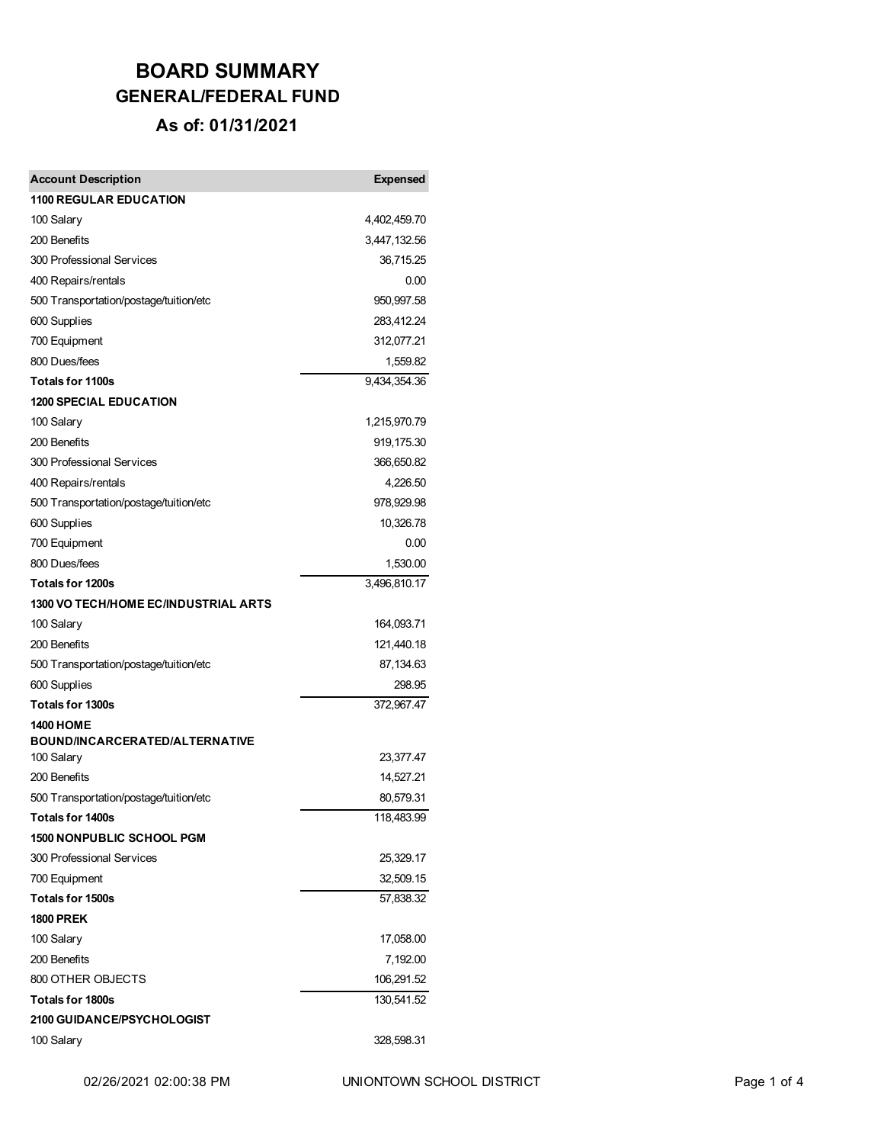| <b>Account Description</b>             | <b>Expensed</b> |
|----------------------------------------|-----------------|
| <b>1100 REGULAR EDUCATION</b>          |                 |
| 100 Salary                             | 4,402,459.70    |
| 200 Benefits                           | 3,447,132.56    |
| 300 Professional Services              | 36,715.25       |
| 400 Repairs/rentals                    | 0.00            |
| 500 Transportation/postage/tuition/etc | 950,997.58      |
| 600 Supplies                           | 283,412.24      |
| 700 Equipment                          | 312,077.21      |
| 800 Dues/fees                          | 1,559.82        |
| Totals for 1100s                       | 9,434,354.36    |
| <b>1200 SPECIAL EDUCATION</b>          |                 |
| 100 Salary                             | 1,215,970.79    |
| 200 Benefits                           | 919,175.30      |
| 300 Professional Services              | 366,650.82      |
| 400 Repairs/rentals                    | 4,226.50        |
| 500 Transportation/postage/tuition/etc | 978,929.98      |
| 600 Supplies                           | 10,326.78       |
| 700 Equipment                          | 0.00            |
| 800 Dues/fees                          | 1,530.00        |
| <b>Totals for 1200s</b>                | 3,496,810.17    |
| 1300 VO TECH/HOME EC/INDUSTRIAL ARTS   |                 |
| 100 Salary                             | 164,093.71      |
| 200 Benefits                           | 121,440.18      |
| 500 Transportation/postage/tuition/etc | 87,134.63       |
| 600 Supplies                           | 298.95          |
| <b>Totals for 1300s</b>                | 372,967.47      |
| <b>1400 HOME</b>                       |                 |
| <b>BOUND/INCARCERATED/ALTERNATIVE</b>  |                 |
| 100 Salary                             | 23,377.47       |
| 200 Benefits                           | 14,527.21       |
| 500 Transportation/postage/tuition/etc | 80,579.31       |
| Totals for 1400s                       | 118,483.99      |
| <b>1500 NONPUBLIC SCHOOL PGM</b>       |                 |
| 300 Professional Services              | 25,329.17       |
| 700 Equipment                          | 32,509.15       |
| Totals for 1500s                       | 57,838.32       |
| <b>1800 PREK</b>                       |                 |
| 100 Salary                             | 17,058.00       |
| 200 Benefits                           | 7,192.00        |
| 800 OTHER OBJECTS                      | 106,291.52      |
| <b>Totals for 1800s</b>                | 130,541.52      |
| 2100 GUIDANCE/PSYCHOLOGIST             |                 |
| 100 Salary                             | 328,598.31      |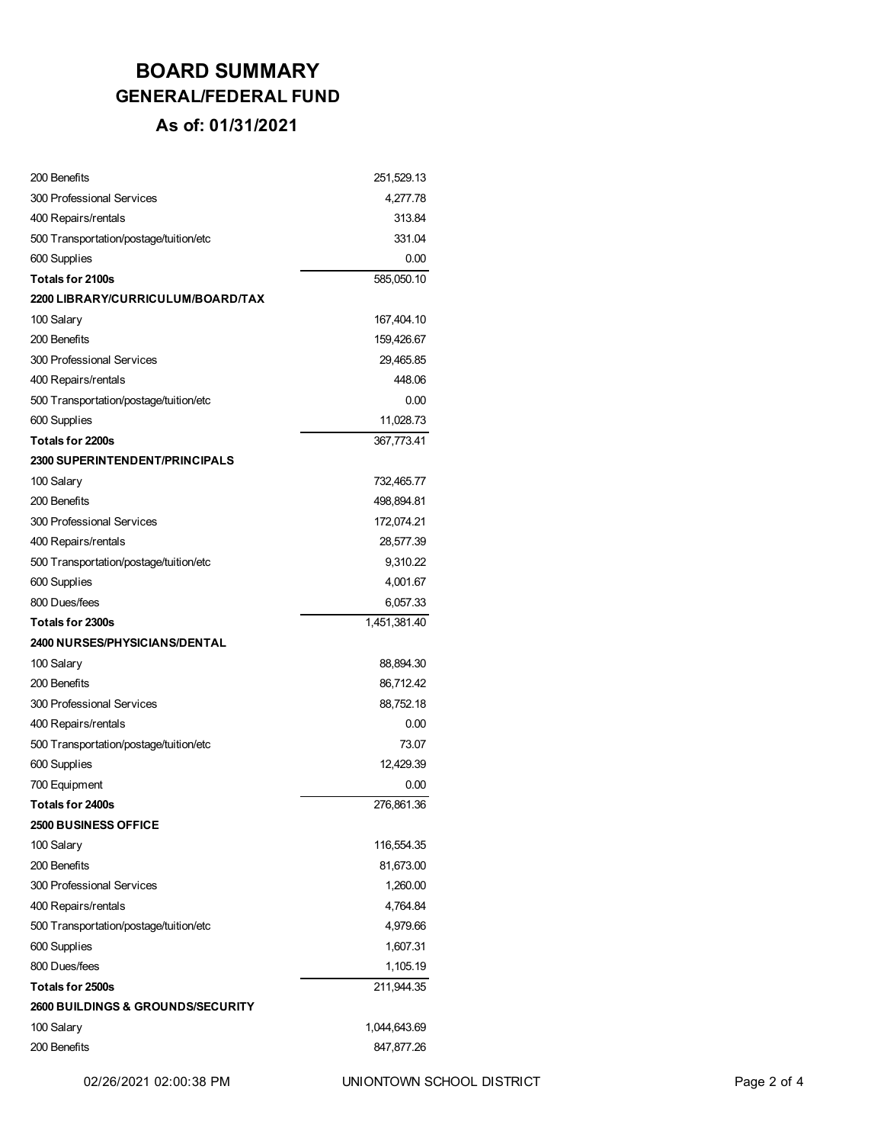| 200 Benefits                                 | 251,529.13   |
|----------------------------------------------|--------------|
| 300 Professional Services                    | 4,277.78     |
| 400 Repairs/rentals                          | 313.84       |
| 500 Transportation/postage/tuition/etc       | 331.04       |
| 600 Supplies                                 | 0.00         |
| <b>Totals for 2100s</b>                      | 585,050.10   |
| 2200 LIBRARY/CURRICULUM/BOARD/TAX            |              |
| 100 Salary                                   | 167,404.10   |
| 200 Benefits                                 | 159,426.67   |
| 300 Professional Services                    | 29,465.85    |
| 400 Repairs/rentals                          | 448.06       |
| 500 Transportation/postage/tuition/etc       | 0.00         |
| 600 Supplies                                 | 11,028.73    |
| Totals for 2200s                             | 367,773.41   |
| <b>2300 SUPERINTENDENT/PRINCIPALS</b>        |              |
| 100 Salary                                   | 732,465.77   |
| 200 Benefits                                 | 498,894.81   |
| 300 Professional Services                    | 172,074.21   |
| 400 Repairs/rentals                          | 28,577.39    |
| 500 Transportation/postage/tuition/etc       | 9,310.22     |
| 600 Supplies                                 | 4,001.67     |
| 800 Dues/fees                                | 6,057.33     |
| Totals for 2300s                             | 1,451,381.40 |
| <b>2400 NURSES/PHYSICIANS/DENTAL</b>         |              |
| 100 Salary                                   | 88,894.30    |
| 200 Benefits                                 | 86,712.42    |
| 300 Professional Services                    | 88,752.18    |
| 400 Repairs/rentals                          | 0.00         |
| 500 Transportation/postage/tuition/etc       | 73.07        |
| 600 Supplies                                 | 12,429.39    |
| 700 Equipment                                | 0.00         |
| Totals for 2400s                             | 276,861.36   |
| <b>2500 BUSINESS OFFICE</b>                  |              |
| 100 Salary                                   | 116,554.35   |
| 200 Benefits                                 | 81,673.00    |
| 300 Professional Services                    | 1,260.00     |
| 400 Repairs/rentals                          | 4,764.84     |
| 500 Transportation/postage/tuition/etc       | 4,979.66     |
| 600 Supplies                                 | 1,607.31     |
| 800 Dues/fees                                | 1,105.19     |
| Totals for 2500s                             | 211,944.35   |
| <b>2600 BUILDINGS &amp; GROUNDS/SECURITY</b> |              |
| 100 Salary                                   | 1,044,643.69 |
| 200 Benefits                                 | 847,877.26   |
|                                              |              |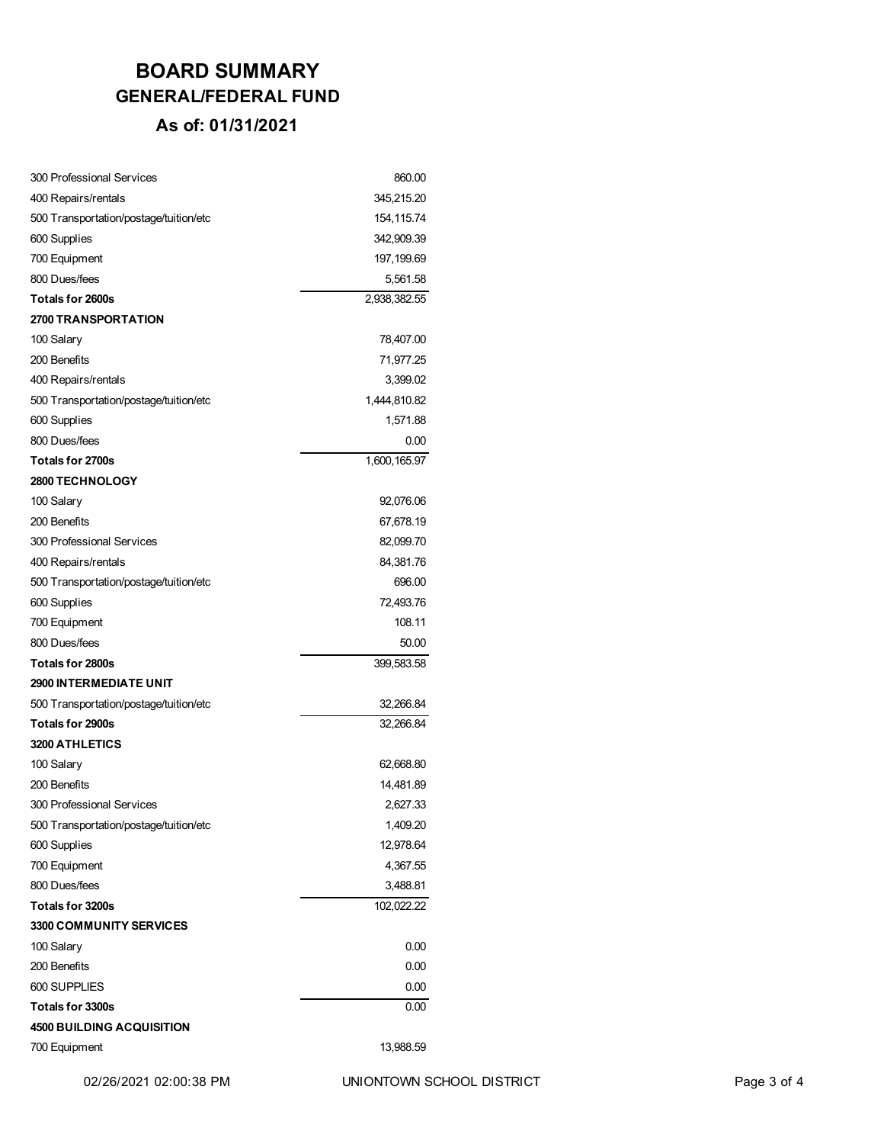| 300 Professional Services              | 860.00       |
|----------------------------------------|--------------|
| 400 Repairs/rentals                    | 345,215.20   |
| 500 Transportation/postage/tuition/etc | 154,115.74   |
| 600 Supplies                           | 342,909.39   |
| 700 Equipment                          | 197,199.69   |
| 800 Dues/fees                          | 5,561.58     |
| Totals for 2600s                       | 2,938,382.55 |
| <b>2700 TRANSPORTATION</b>             |              |
| 100 Salary                             | 78,407.00    |
| 200 Benefits                           | 71,977.25    |
| 400 Repairs/rentals                    | 3,399.02     |
| 500 Transportation/postage/tuition/etc | 1,444,810.82 |
| 600 Supplies                           | 1,571.88     |
| 800 Dues/fees                          | 0.00         |
| Totals for 2700s                       | 1,600,165.97 |
| <b>2800 TECHNOLOGY</b>                 |              |
| 100 Salary                             | 92,076.06    |
| 200 Benefits                           | 67,678.19    |
| 300 Professional Services              | 82,099.70    |
| 400 Repairs/rentals                    | 84,381.76    |
| 500 Transportation/postage/tuition/etc | 696.00       |
| 600 Supplies                           | 72,493.76    |
| 700 Equipment                          | 108.11       |
| 800 Dues/fees                          | 50.00        |
| Totals for 2800s                       | 399,583.58   |
| <b>2900 INTERMEDIATE UNIT</b>          |              |
| 500 Transportation/postage/tuition/etc | 32,266.84    |
| Totals for 2900s                       | 32,266.84    |
| <b>3200 ATHLETICS</b>                  |              |
| 100 Salary                             | 62,668.80    |
| 200 Benefits                           | 14,481.89    |
| 300 Professional Services              | 2,627.33     |
| 500 Transportation/postage/tuition/etc | 1,409.20     |
| 600 Supplies                           | 12,978.64    |
| 700 Equipment                          | 4,367.55     |
| 800 Dues/fees                          | 3,488.81     |
| Totals for 3200s                       | 102,022.22   |
| <b>3300 COMMUNITY SERVICES</b>         |              |
| 100 Salary                             | 0.00         |
| 200 Benefits                           | 0.00         |
| 600 SUPPLIES                           | 0.00         |
| Totals for 3300s                       | 0.00         |
| <b>4500 BUILDING ACQUISITION</b>       |              |
| 700 Equipment                          | 13,988.59    |